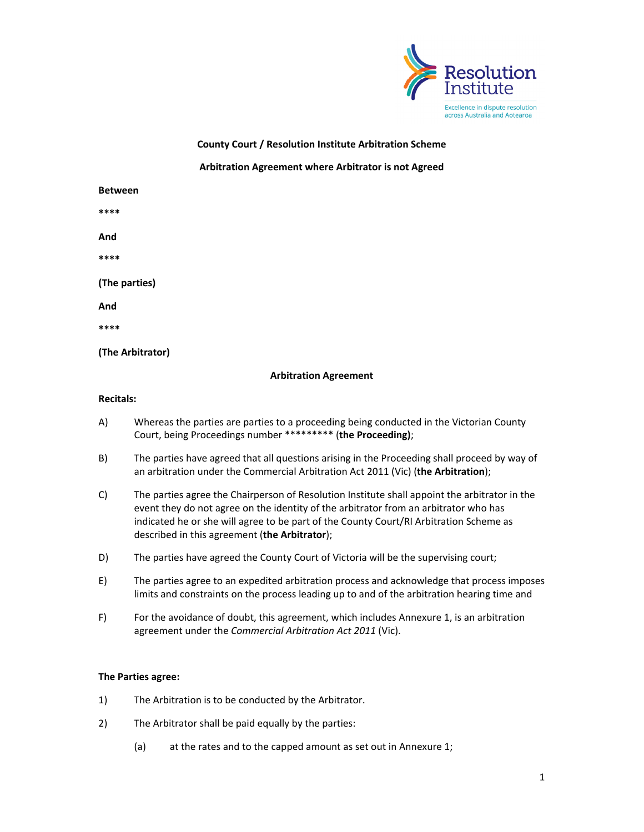

**County Court / Resolution Institute Arbitration Scheme**

## **Arbitration Agreement where Arbitrator is not Agreed**

| <b>Between</b>   |  |
|------------------|--|
| ****             |  |
| And              |  |
| ****             |  |
| (The parties)    |  |
| And              |  |
| ****             |  |
| (The Arbitrator) |  |

## **Arbitration Agreement**

## **Recitals:**

- A) Whereas the parties are parties to a proceeding being conducted in the Victorian County Court, being Proceedings number \*\*\*\*\*\*\*\*\* (**the Proceeding)**;
- B) The parties have agreed that all questions arising in the Proceeding shall proceed by way of an arbitration under the Commercial Arbitration Act 2011 (Vic) (**the Arbitration**);
- C) The parties agree the Chairperson of Resolution Institute shall appoint the arbitrator in the event they do not agree on the identity of the arbitrator from an arbitrator who has indicated he or she will agree to be part of the County Court/RI Arbitration Scheme as described in this agreement (**the Arbitrator**);
- D) The parties have agreed the County Court of Victoria will be the supervising court;
- E) The parties agree to an expedited arbitration process and acknowledge that process imposes limits and constraints on the process leading up to and of the arbitration hearing time and
- F) For the avoidance of doubt, this agreement, which includes Annexure 1, is an arbitration agreement under the *Commercial Arbitration Act 2011* (Vic).

## **The Parties agree:**

- 1) The Arbitration is to be conducted by the Arbitrator.
- 2) The Arbitrator shall be paid equally by the parties:
	- (a) at the rates and to the capped amount as set out in Annexure 1;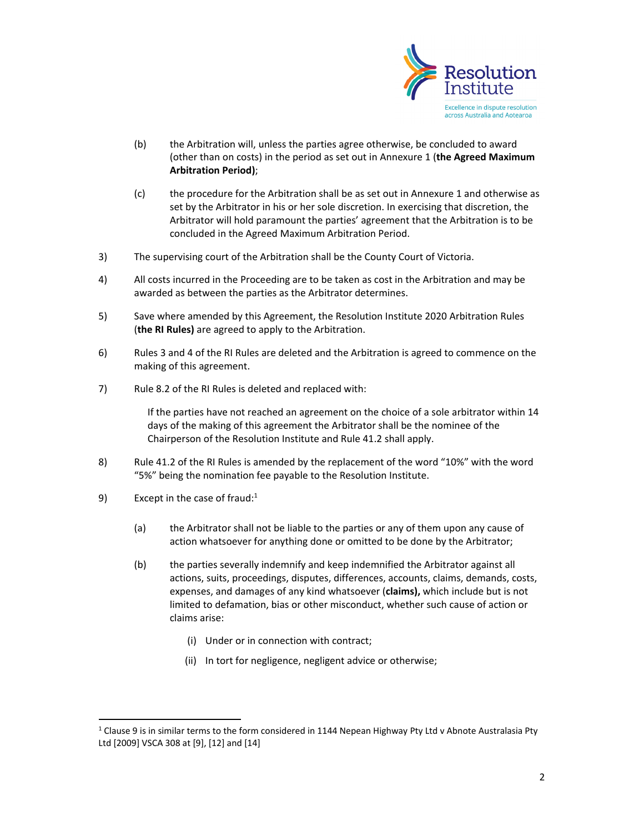

- (b) the Arbitration will, unless the parties agree otherwise, be concluded to award (other than on costs) in the period as set out in Annexure 1 (**the Agreed Maximum Arbitration Period)**;
- (c) the procedure for the Arbitration shall be as set out in Annexure 1 and otherwise as set by the Arbitrator in his or her sole discretion. In exercising that discretion, the Arbitrator will hold paramount the parties' agreement that the Arbitration is to be concluded in the Agreed Maximum Arbitration Period.
- 3) The supervising court of the Arbitration shall be the County Court of Victoria.
- 4) All costs incurred in the Proceeding are to be taken as cost in the Arbitration and may be awarded as between the parties as the Arbitrator determines.
- 5) Save where amended by this Agreement, the Resolution Institute 2020 Arbitration Rules (**the RI Rules)** are agreed to apply to the Arbitration.
- 6) Rules 3 and 4 of the RI Rules are deleted and the Arbitration is agreed to commence on the making of this agreement.
- 7) Rule 8.2 of the RI Rules is deleted and replaced with:

If the parties have not reached an agreement on the choice of a sole arbitrator within 14 days of the making of this agreement the Arbitrator shall be the nominee of the Chairperson of the Resolution Institute and Rule 41.2 shall apply.

- 8) Rule 41.2 of the RI Rules is amended by the replacement of the word "10%" with the word "5%" being the nomination fee payable to the Resolution Institute.
- 9) Except in the case of fraud:<sup>1</sup>
	- (a) the Arbitrator shall not be liable to the parties or any of them upon any cause of action whatsoever for anything done or omitted to be done by the Arbitrator;
	- (b) the parties severally indemnify and keep indemnified the Arbitrator against all actions, suits, proceedings, disputes, differences, accounts, claims, demands, costs, expenses, and damages of any kind whatsoever (**claims),** which include but is not limited to defamation, bias or other misconduct, whether such cause of action or claims arise:
		- (i) Under or in connection with contract;
		- (ii) In tort for negligence, negligent advice or otherwise;

 $1$  Clause 9 is in similar terms to the form considered in 1144 Nepean Highway Pty Ltd v Abnote Australasia Pty Ltd [2009] VSCA 308 at [9], [12] and [14]